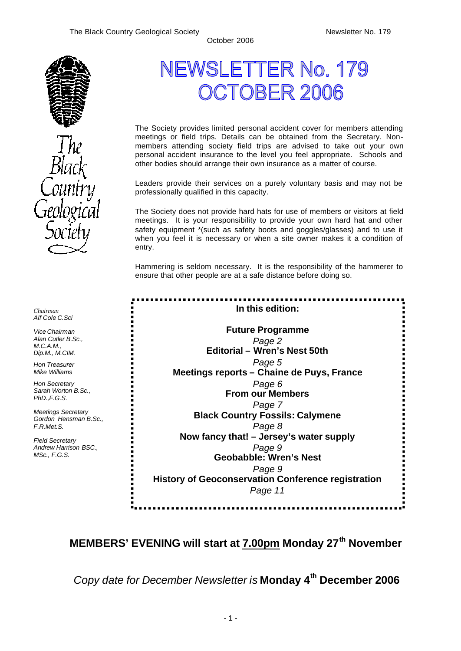a,

----------<br>-------

t,



*Chairman Alf Cole C.Sci*

*Vice Chairman Alan Cutler B.Sc., M.C.A.M. Dip.M., M.CIM.*

*Hon Treasurer Mike Williams* 

*Hon Secretary Sarah Worton B.Sc., PhD.,F.G.S.*

*Meetings Secretary Gordon Hensman B.Sc., F.R.Met.S.*

*Field Secretary Andrew Harrison BSC., MSc., F.G.S.*

# NEWSL ETTER No. 179 CTOBER 2006

The Society provides limited personal accident cover for members attending meetings or field trips. Details can be obtained from the Secretary. Nonmembers attending society field trips are advised to take out your own personal accident insurance to the level you feel appropriate. Schools and other bodies should arrange their own insurance as a matter of course.

Leaders provide their services on a purely voluntary basis and may not be professionally qualified in this capacity.

The Society does not provide hard hats for use of members or visitors at field meetings. It is your responsibility to provide your own hard hat and other safety equipment \*(such as safety boots and goggles/glasses) and to use it when you feel it is necessary or when a site owner makes it a condition of entry.

Hammering is seldom necessary. It is the responsibility of the hammerer to ensure that other people are at a safe distance before doing so.

| In this edition:                                          |  |  |
|-----------------------------------------------------------|--|--|
| <b>Future Programme</b>                                   |  |  |
| Page 2                                                    |  |  |
| Editorial - Wren's Nest 50th                              |  |  |
| Page 5                                                    |  |  |
| Meetings reports - Chaine de Puys, France                 |  |  |
| Page 6                                                    |  |  |
| <b>From our Members</b>                                   |  |  |
| Page 7                                                    |  |  |
| <b>Black Country Fossils: Calymene</b>                    |  |  |
| Page 8                                                    |  |  |
| Now fancy that! – Jersey's water supply                   |  |  |
| Page 9                                                    |  |  |
| <b>Geobabble: Wren's Nest</b>                             |  |  |
| Page 9                                                    |  |  |
| <b>History of Geoconservation Conference registration</b> |  |  |
| Page 11                                                   |  |  |
|                                                           |  |  |

# **MEMBERS' EVENING will start at 7.00pm Monday 27th November**

*Copy date for December Newsletter is* **Monday 4 th December 2006**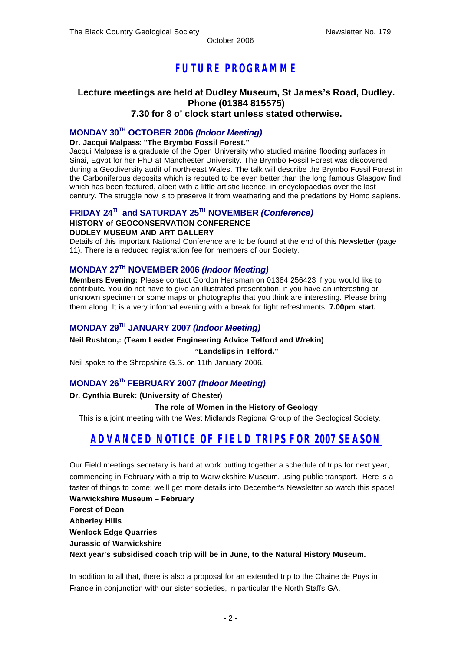# *FUTURE PROGRAMME*

### **Lecture meetings are held at Dudley Museum, St James's Road, Dudley. Phone (01384 815575) 7.30 for 8 o' clock start unless stated otherwise.**

## **MONDAY 30TH OCTOBER 2006** *(Indoor Meeting)*

### **Dr. Jacqui Malpass: "The Brymbo Fossil Forest."**

Jacqui Malpass is a graduate of the Open University who studied marine flooding surfaces in Sinai, Egypt for her PhD at Manchester University. The Brymbo Fossil Forest was discovered during a Geodiversity audit of north-east Wales. The talk will describe the Brymbo Fossil Forest in the Carboniferous deposits which is reputed to be even better than the long famous Glasgow find, which has been featured, albeit with a little artistic licence, in encyclopaedias over the last century. The struggle now is to preserve it from weathering and the predations by Homo sapiens.

### **FRIDAY 24TH and SATURDAY 25TH NOVEMBER** *(Conference)*

#### **HISTORY of GEOCONSERVATION CONFERENCE**

#### **DUDLEY MUSEUM AND ART GALLERY**

Details of this important National Conference are to be found at the end of this Newsletter (page 11). There is a reduced registration fee for members of our Society.

### **MONDAY 27TH NOVEMBER 2006** *(Indoor Meeting)*

**Members Evening:** Please contact Gordon Hensman on 01384 256423 if you would like to contribute. You do not have to give an illustrated presentation, if you have an interesting or unknown specimen or some maps or photographs that you think are interesting. Please bring them along. It is a very informal evening with a break for light refreshments. **7.00pm start.**

### **MONDAY 29TH JANUARY 2007** *(Indoor Meeting)*

**Neil Rushton,: (Team Leader Engineering Advice Telford and Wrekin)**

#### **"Landslips in Telford."**

Neil spoke to the Shropshire G.S. on 11th January 2006.

### **MONDAY 26Th FEBRUARY 2007** *(Indoor Meeting)*

#### **Dr. Cynthia Burek: (University of Chester)**

#### **The role of Women in the History of Geology**

This is a joint meeting with the West Midlands Regional Group of the Geological Society.

# *ADVANCED NOTICE OF FIELD TRIPS FOR 2007 SEASON*

Our Field meetings secretary is hard at work putting together a schedule of trips for next year, commencing in February with a trip to Warwickshire Museum, using public transport. Here is a taster of things to come; we'll get more details into December's Newsletter so watch this space! **Warwickshire Museum – February**

**Forest of Dean**

**Abberley Hills**

**Wenlock Edge Quarries**

**Jurassic of Warwickshire**

**Next year's subsidised coach trip will be in June, to the Natural History Museum.**

In addition to all that, there is also a proposal for an extended trip to the Chaine de Puys in France in conjunction with our sister societies, in particular the North Staffs GA.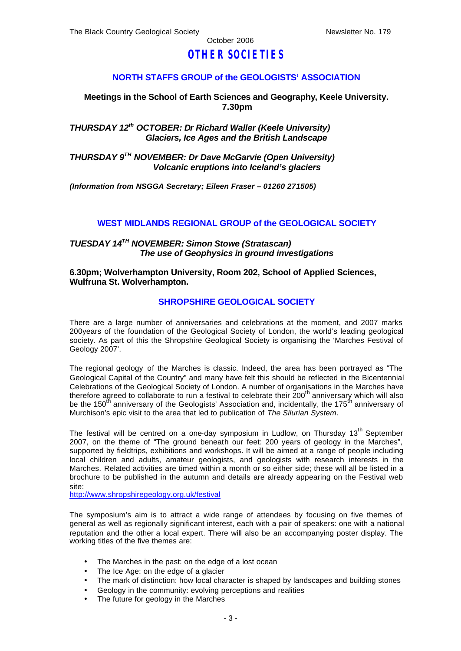# *OTHER SOCIETIES*

### **NORTH STAFFS GROUP of the GEOLOGISTS' ASSOCIATION**

### **Meetings in the School of Earth Sciences and Geography, Keele University. 7.30pm**

### *THURSDAY 12th OCTOBER: Dr Richard Waller (Keele University) Glaciers, Ice Ages and the British Landscape*

*THURSDAY 9TH NOVEMBER: Dr Dave McGarvie (Open University) Volcanic eruptions into Iceland's glaciers*

*(Information from NSGGA Secretary; Eileen Fraser – 01260 271505)*

### **WEST MIDLANDS REGIONAL GROUP of the GEOLOGICAL SOCIETY**

### *TUESDAY 14TH NOVEMBER: Simon Stowe (Stratascan) The use of Geophysics in ground investigations*

#### **6.30pm; Wolverhampton University, Room 202, School of Applied Sciences, Wulfruna St. Wolverhampton.**

#### **SHROPSHIRE GEOLOGICAL SOCIETY**

There are a large number of anniversaries and celebrations at the moment, and 2007 marks 200years of the foundation of the Geological Society of London, the world's leading geological society. As part of this the Shropshire Geological Society is organising the 'Marches Festival of Geology 2007'.

The regional geology of the Marches is classic. Indeed, the area has been portrayed as "The Geological Capital of the Country" and many have felt this should be reflected in the Bicentennial Celebrations of the Geological Society of London. A number of organisations in the Marches have therefore agreed to collaborate to run a festival to celebrate their  $200<sup>th</sup>$  anniversary which will also be the 150<sup>th</sup> anniversary of the Geologists' Association and, incidentally, the 175<sup>th</sup> anniversary of Murchison's epic visit to the area that led to publication of *The Silurian System*.

The festival will be centred on a one-day symposium in Ludlow, on Thursday 13<sup>th</sup> September 2007, on the theme of "The ground beneath our feet: 200 years of geology in the Marches", supported by fieldtrips, exhibitions and workshops. It will be aimed at a range of people including local children and adults, amateur geologists, and geologists with research interests in the Marches. Related activities are timed within a month or so either side; these will all be listed in a brochure to be published in the autumn and details are already appearing on the Festival web site:

http://www.shropshiregeology.org.uk/festival

The symposium's aim is to attract a wide range of attendees by focusing on five themes of general as well as regionally significant interest, each with a pair of speakers: one with a national reputation and the other a local expert. There will also be an accompanying poster display. The working titles of the five themes are:

- The Marches in the past: on the edge of a lost ocean
- The Ice Age: on the edge of a glacier
- The mark of distinction: how local character is shaped by landscapes and building stones
- Geology in the community: evolving perceptions and realities
- The future for geology in the Marches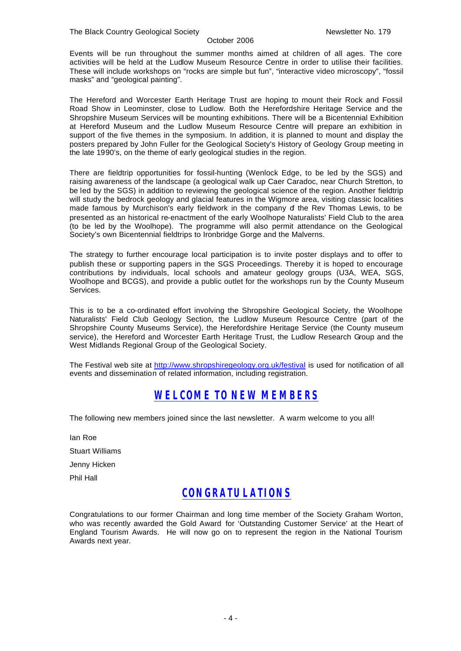Events will be run throughout the summer months aimed at children of all ages. The core activities will be held at the Ludlow Museum Resource Centre in order to utilise their facilities. These will include workshops on "rocks are simple but fun", "interactive video microscopy", "fossil masks" and "geological painting".

The Hereford and Worcester Earth Heritage Trust are hoping to mount their Rock and Fossil Road Show in Leominster, close to Ludlow. Both the Herefordshire Heritage Service and the Shropshire Museum Services will be mounting exhibitions. There will be a Bicentennial Exhibition at Hereford Museum and the Ludlow Museum Resource Centre will prepare an exhibition in support of the five themes in the symposium. In addition, it is planned to mount and display the posters prepared by John Fuller for the Geological Society's History of Geology Group meeting in the late 1990's, on the theme of early geological studies in the region.

There are fieldtrip opportunities for fossil-hunting (Wenlock Edge, to be led by the SGS) and raising awareness of the landscape (a geological walk up Caer Caradoc, near Church Stretton, to be led by the SGS) in addition to reviewing the geological science of the region. Another fieldtrip will study the bedrock geology and glacial features in the Wigmore area, visiting classic localities made famous by Murchison's early fieldwork in the company of the Rev Thomas Lewis, to be presented as an historical re-enactment of the early Woolhope Naturalists' Field Club to the area (to be led by the Woolhope). The programme will also permit attendance on the Geological Society's own Bicentennial fieldtrips to Ironbridge Gorge and the Malverns.

The strategy to further encourage local participation is to invite poster displays and to offer to publish these or supporting papers in the SGS Proceedings. Thereby it is hoped to encourage contributions by individuals, local schools and amateur geology groups (U3A, WEA, SGS, Woolhope and BCGS), and provide a public outlet for the workshops run by the County Museum Services.

This is to be a co-ordinated effort involving the Shropshire Geological Society, the Woolhope Naturalists' Field Club Geology Section, the Ludlow Museum Resource Centre (part of the Shropshire County Museums Service), the Herefordshire Heritage Service (the County museum service), the Hereford and Worcester Earth Heritage Trust, the Ludlow Research Group and the West Midlands Regional Group of the Geological Society.

The Festival web site at http://www.shropshiregeology.org.uk/festival is used for notification of all events and dissemination of related information, including registration.

# *WELCOME TO NEW MEMBERS*

The following new members joined since the last newsletter. A warm welcome to you all!

Ian Roe Stuart Williams Jenny Hicken Phil Hall

# *CONGRATULATIONS*

Congratulations to our former Chairman and long time member of the Society Graham Worton, who was recently awarded the Gold Award for 'Outstanding Customer Service' at the Heart of England Tourism Awards. He will now go on to represent the region in the National Tourism Awards next year.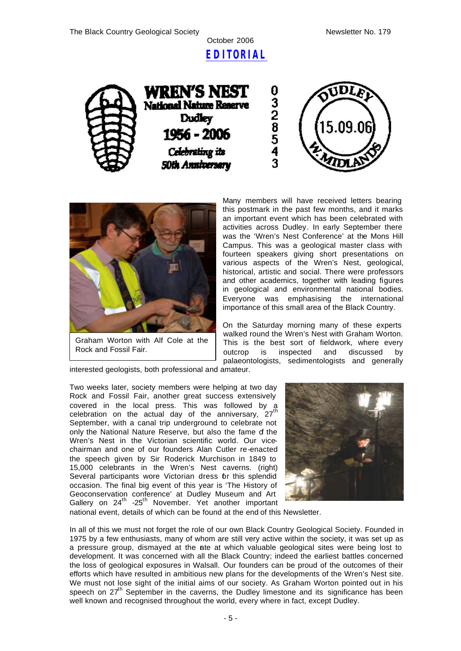

0328543









Graham Worton with Alf Cole at the Rock and Fossil Fair.

Many members will have received letters bearing this postmark in the past few months, and it marks an important event which has been celebrated with activities across Dudley. In early September there was the 'Wren's Nest Conference' at the Mons Hill Campus. This was a geological master class with fourteen speakers giving short presentations on various aspects of the Wren's Nest, geological, historical, artistic and social. There were professors and other academics, together with leading figures in geological and environmental national bodies. Everyone was emphasising the international importance of this small area of the Black Country.

On the Saturday morning many of these experts walked round the Wren's Nest with Graham Worton. This is the best sort of fieldwork, where every outcrop is inspected and discussed by palaeontologists, sedimentologists and generally

interested geologists, both professional and amateur.

Two weeks later, society members were helping at two day Rock and Fossil Fair, another great success extensively covered in the local press. This was followed by a celebration on the actual day of the anniversary,  $27<sup>th</sup>$ September, with a canal trip underground to celebrate not only the National Nature Reserve, but also the fame of the Wren's Nest in the Victorian scientific world. Our vicechairman and one of our founders Alan Cutler re-enacted the speech given by Sir Roderick Murchison in 1849 to 15,000 celebrants in the Wren's Nest caverns. (right) Several participants wore Victorian dress or this splendid occasion. The final big event of this year is 'The History of Geoconservation conference' at Dudley Museum and Art Gallery on 24<sup>th</sup> -25<sup>th</sup> November. Yet another important



national event, details of which can be found at the end of this Newsletter.

In all of this we must not forget the role of our own Black Country Geological Society. Founded in 1975 by a few enthusiasts, many of whom are still very active within the society, it was set up as a pressure group, dismayed at the ate at which valuable geological sites were being lost to development. It was concerned with all the Black Country; indeed the earliest battles concerned the loss of geological exposures in Walsall. Our founders can be proud of the outcomes of their efforts which have resulted in ambitious new plans for the developments of the Wren's Nest site. We must not lose sight of the initial aims of our society. As Graham Worton pointed out in his speech on 27<sup>th</sup> September in the caverns, the Dudley limestone and its significance has been well known and recognised throughout the world, every where in fact, except Dudley.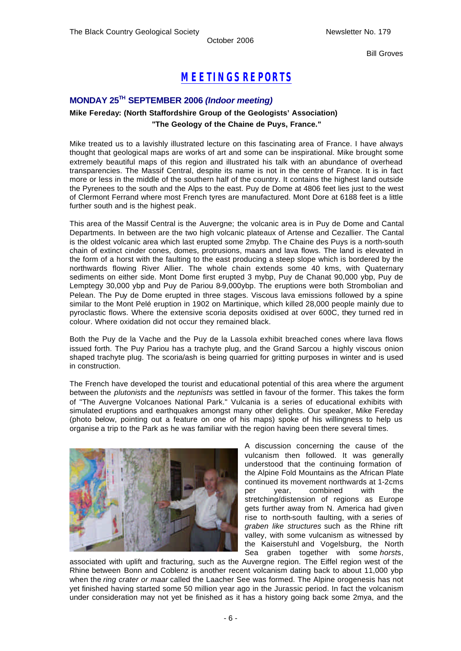Bill Groves

# *MEETINGS REPORTS*

### **MONDAY 25TH SEPTEMBER 2006** *(Indoor meeting)*

### **Mike Fereday: (North Staffordshire Group of the Geologists' Association) "The Geology of the Chaine de Puys, France."**

Mike treated us to a lavishly illustrated lecture on this fascinating area of France. I have always thought that geological maps are works of art and some can be inspirational. Mike brought some extremely beautiful maps of this region and illustrated his talk with an abundance of overhead transparencies. The Massif Central, despite its name is not in the centre of France. It is in fact more or less in the middle of the southern half of the country. It contains the highest land outside the Pyrenees to the south and the Alps to the east. Puy de Dome at 4806 feet lies just to the west of Clermont Ferrand where most French tyres are manufactured. Mont Dore at 6188 feet is a little further south and is the highest peak.

This area of the Massif Central is the Auvergne; the volcanic area is in Puy de Dome and Cantal Departments. In between are the two high volcanic plateaux of Artense and Cezallier. The Cantal is the oldest volcanic area which last erupted some 2mybp. The Chaine des Puys is a north-south chain of extinct cinder cones, domes, protrusions, maars and lava flows. The land is elevated in the form of a horst with the faulting to the east producing a steep slope which is bordered by the northwards flowing River Allier. The whole chain extends some 40 kms, with Quaternary sediments on either side. Mont Dome first erupted 3 mybp, Puy de Chanat 90,000 ybp, Puy de Lemptegy 30,000 ybp and Puy de Pariou 8-9,000ybp. The eruptions were both Strombolian and Pelean. The Puy de Dome erupted in three stages. Viscous lava emissions followed by a spine similar to the Mont Pelé eruption in 1902 on Martinique, which killed 28,000 people mainly due to pyroclastic flows. Where the extensive scoria deposits oxidised at over 600C, they turned red in colour. Where oxidation did not occur they remained black.

Both the Puy de la Vache and the Puy de la Lassola exhibit breached cones where lava flows issued forth. The Puy Pariou has a trachyte plug, and the Grand Sarcou a highly viscous onion shaped trachyte plug. The scoria/ash is being quarried for gritting purposes in winter and is used in construction.

The French have developed the tourist and educational potential of this area where the argument between the *plutonists* and the *neptunists* was settled in favour of the former. This takes the form of "The Auvergne Volcanoes National Park." Vulcania is a series of educational exhibits with simulated eruptions and earthquakes amongst many other delights. Our speaker, Mike Fereday (photo below, pointing out a feature on one of his maps) spoke of his willingness to help us organise a trip to the Park as he was familiar with the region having been there several times.



A discussion concerning the cause of the vulcanism then followed. It was generally understood that the continuing formation of the Alpine Fold Mountains as the African Plate continued its movement northwards at 1-2cms per year, combined with the stretching/distension of regions as Europe gets further away from N. America had given rise to north-south faulting, with a series of *graben like structures* such as the Rhine rift valley, with some vulcanism as witnessed by the Kaiserstuhl and Vogelsburg, the North Sea graben together with some *horst*s,

associated with uplift and fracturing, such as the Auvergne region. The Eiffel region west of the Rhine between Bonn and Coblenz is another recent volcanism dating back to about 11,000 ybp when the *ring crater or maar* called the Laacher See was formed. The Alpine orogenesis has not yet finished having started some 50 million year ago in the Jurassic period. In fact the volcanism under consideration may not yet be finished as it has a history going back some 2mya, and the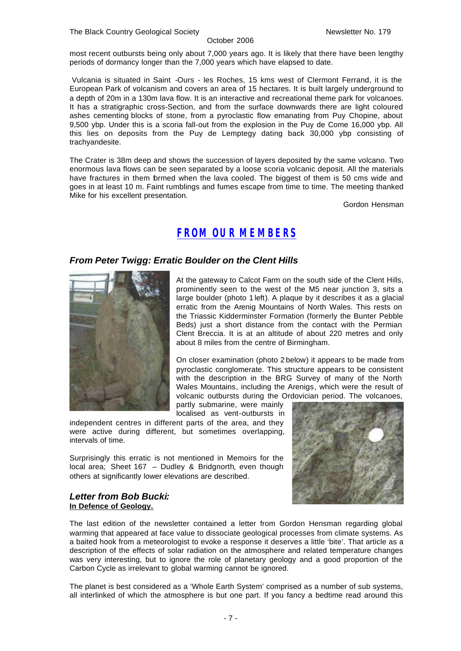most recent outbursts being only about 7,000 years ago. It is likely that there have been lengthy periods of dormancy longer than the 7,000 years which have elapsed to date.

Vulcania is situated in Saint -Ours - les Roches, 15 kms west of Clermont Ferrand, it is the European Park of volcanism and covers an area of 15 hectares. It is built largely underground to a depth of 20m in a 130m lava flow. It is an interactive and recreational theme park for volcanoes. It has a stratigraphic cross-Section, and from the surface downwards there are light coloured ashes cementing blocks of stone, from a pyroclastic flow emanating from Puy Chopine, about 9,500 ybp. Under this is a scoria fall-out from the explosion in the Puy de Come 16,000 ybp. All this lies on deposits from the Puy de Lemptegy dating back 30,000 ybp consisting of trachyandesite.

The Crater is 38m deep and shows the succession of layers deposited by the same volcano. Two enormous lava flows can be seen separated by a loose scoria volcanic deposit. All the materials have fractures in them formed when the lava cooled. The biggest of them is 50 cms wide and goes in at least 10 m. Faint rumblings and fumes escape from time to time. The meeting thanked Mike for his excellent presentation.

Gordon Hensman

# *FROM OUR MEMBERS*

### *From Peter Twigg: Erratic Boulder on the Clent Hills*



At the gateway to Calcot Farm on the south side of the Clent Hills, prominently seen to the west of the M5 near junction 3, sits a large boulder (photo 1 left). A plaque by it describes it as a glacial erratic from the Arenig Mountains of North Wales. This rests on the Triassic Kidderminster Formation (formerly the Bunter Pebble Beds) just a short distance from the contact with the Permian Clent Breccia. It is at an altitude of about 220 metres and only about 8 miles from the centre of Birmingham.

On closer examination (photo 2 below) it appears to be made from pyroclastic conglomerate. This structure appears to be consistent with the description in the BRG Survey of many of the North Wales Mountains, including the Arenigs, which were the result of volcanic outbursts during the Ordovician period. The volcanoes, partly submarine, were mainly

localised as vent-outbursts in

independent centres in different parts of the area, and they were active during different, but sometimes overlapping, intervals of time.

Surprisingly this erratic is not mentioned in Memoirs for the local area; Sheet 167 – Dudley & Bridgnorth, even though others at significantly lower elevations are described.

#### *Letter from Bob Bucki:* **In Defence of Geology.**

The last edition of the newsletter contained a letter from Gordon Hensman regarding global warming that appeared at face value to dissociate geological processes from climate systems. As a baited hook from a meteorologist to evoke a response it deserves a little 'bite'. That article as a description of the effects of solar radiation on the atmosphere and related temperature changes was very interesting, but to ignore the role of planetary geology and a good proportion of the Carbon Cycle as irrelevant to global warming cannot be ignored.

The planet is best considered as a 'Whole Earth System' comprised as a number of sub systems, all interlinked of which the atmosphere is but one part. If you fancy a bedtime read around this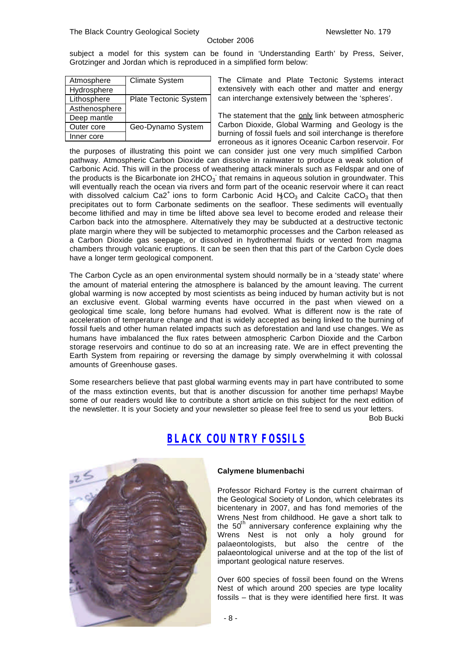subject a model for this system can be found in 'Understanding Earth' by Press, Seiver, Grotzinger and Jordan which is reproduced in a simplified form below:

| Atmosphere    | Climate System        |
|---------------|-----------------------|
| Hydrosphere   |                       |
| Lithosphere   | Plate Tectonic System |
| Asthenosphere |                       |
| Deep mantle   |                       |
| Outer core    | Geo-Dynamo System     |
| Inner core    |                       |

The Climate and Plate Tectonic Systems interact extensively with each other and matter and energy can interchange extensively between the 'spheres'.

The statement that the only link between atmospheric Carbon Dioxide, Global Warming and Geology is the burning of fossil fuels and soil interchange is therefore erroneous as it ignores Oceanic Carbon reservoir. For

the purposes of illustrating this point we can consider just one very much simplified Carbon pathway. Atmospheric Carbon Dioxide can dissolve in rainwater to produce a weak solution of Carbonic Acid. This will in the process of weathering attack minerals such as Feldspar and one of the products is the Bicarbonate ion 2HCO<sub>3</sub> that remains in aqueous solution in groundwater. This will eventually reach the ocean via rivers and form part of the oceanic reservoir where it can react with dissolved calcium Ca2<sup>+</sup> ions to form Carbonic Acid  $H_2CO_3$  and Calcite CaCO<sub>3</sub> that then precipitates out to form Carbonate sediments on the seafloor. These sediments will eventually become lithified and may in time be lifted above sea level to become eroded and release their Carbon back into the atmosphere. Alternatively they may be subducted at a destructive tectonic plate margin where they will be subjected to metamorphic processes and the Carbon released as a Carbon Dioxide gas seepage, or dissolved in hydrothermal fluids or vented from magma chambers through volcanic eruptions. It can be seen then that this part of the Carbon Cycle does have a longer term geological component.

The Carbon Cycle as an open environmental system should normally be in a 'steady state' where the amount of material entering the atmosphere is balanced by the amount leaving. The current global warming is now accepted by most scientists as being induced by human activity but is not an exclusive event. Global warming events have occurred in the past when viewed on a geological time scale, long before humans had evolved. What is different now is the rate of acceleration of temperature change and that is widely accepted as being linked to the burning of fossil fuels and other human related impacts such as deforestation and land use changes. We as humans have imbalanced the flux rates between atmospheric Carbon Dioxide and the Carbon storage reservoirs and continue to do so at an increasing rate. We are in effect preventing the Earth System from repairing or reversing the damage by simply overwhelming it with colossal amounts of Greenhouse gases.

Some researchers believe that past global warming events may in part have contributed to some of the mass extinction events, but that is another discussion for another time perhaps! Maybe some of our readers would like to contribute a short article on this subject for the next edition of the newsletter. It is your Society and your newsletter so please feel free to send us your letters.

Bob Bucki



# *BLACK COUNTRY FOSSILS*

#### **Calymene blumenbachi**

Professor Richard Fortey is the current chairman of the Geological Society of London, which celebrates its bicentenary in 2007, and has fond memories of the Wrens Nest from childhood. He gave a short talk to the  $50<sup>th</sup>$  anniversary conference explaining why the Wrens Nest is not only a holy ground for palaeontologists, but also the centre of the palaeontological universe and at the top of the list of important geological nature reserves.

Over 600 species of fossil been found on the Wrens Nest of which around 200 species are type locality fossils – that is they were identified here first. It was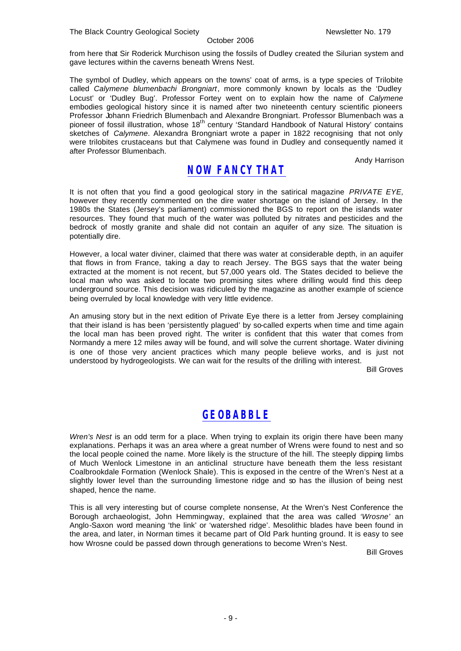from here that Sir Roderick Murchison using the fossils of Dudley created the Silurian system and gave lectures within the caverns beneath Wrens Nest.

The symbol of Dudley, which appears on the towns' coat of arms, is a type species of Trilobite called *Calymene blumenbachi Brongniart*, more commonly known by locals as the 'Dudley Locust' or 'Dudley Bug'. Professor Fortey went on to explain how the name of *Calymene* embodies geological history since it is named after two nineteenth century scientific pioneers Professor Johann Friedrich Blumenbach and Alexandre Brongniart. Professor Blumenbach was a pioneer of fossil illustration, whose 18<sup>th</sup> century 'Standard Handbook of Natural History' contains sketches of *Calymene*. Alexandra Brongniart wrote a paper in 1822 recognising that not only were trilobites crustaceans but that Calymene was found in Dudley and consequently named it after Professor Blumenbach.

Andy Harrison

# *NOW FANCY THAT*

It is not often that you find a good geological story in the satirical magazine *PRIVATE EYE,* however they recently commented on the dire water shortage on the island of Jersey. In the 1980s the States (Jersey's parliament) commissioned the BGS to report on the islands water resources. They found that much of the water was polluted by nitrates and pesticides and the bedrock of mostly granite and shale did not contain an aquifer of any size. The situation is potentially dire.

However, a local water diviner, claimed that there was water at considerable depth, in an aquifer that flows in from France, taking a day to reach Jersey. The BGS says that the water being extracted at the moment is not recent, but 57,000 years old. The States decided to believe the local man who was asked to locate two promising sites where drilling would find this deep underground source. This decision was ridiculed by the magazine as another example of science being overruled by local knowledge with very little evidence.

An amusing story but in the next edition of Private Eye there is a letter from Jersey complaining that their island is has been 'persistently plagued' by so-called experts when time and time again the local man has been proved right. The writer is confident that this water that comes from Normandy a mere 12 miles away will be found, and will solve the current shortage. Water divining is one of those very ancient practices which many people believe works, and is just not understood by hydrogeologists. We can wait for the results of the drilling with interest.

Bill Groves

# *GEOBABBLE*

*Wren's Nest* is an odd term for a place. When trying to explain its origin there have been many explanations. Perhaps it was an area where a great number of Wrens were found to nest and so the local people coined the name. More likely is the structure of the hill. The steeply dipping limbs of Much Wenlock Limestone in an anticlinal structure have beneath them the less resistant Coalbrookdale Formation (Wenlock Shale). This is exposed in the centre of the Wren's Nest at a slightly lower level than the surrounding limestone ridge and so has the illusion of being nest shaped, hence the name.

This is all very interesting but of course complete nonsense, At the Wren's Nest Conference the Borough archaeologist, John Hemmingway, explained that the area was called *'Wrosne'* an Anglo-Saxon word meaning 'the link' or 'watershed ridge'. Mesolithic blades have been found in the area, and later, in Norman times it became part of Old Park hunting ground. It is easy to see how Wrosne could be passed down through generations to become Wren's Nest.

Bill Groves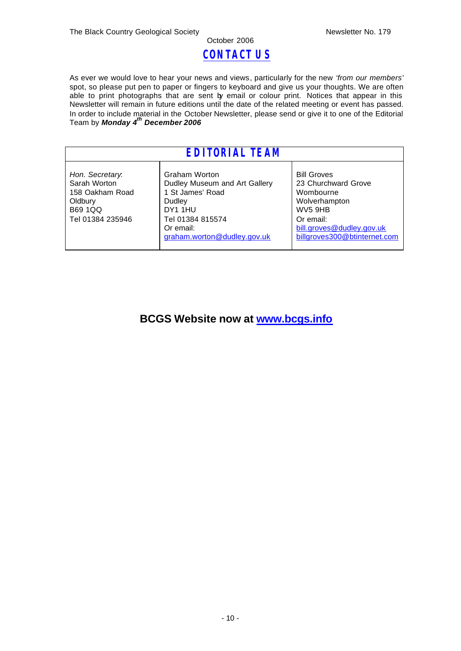# *CONTACT US*

October 2006

As ever we would love to hear your news and views, particularly for the new *'from our members'* spot, so please put pen to paper or fingers to keyboard and give us your thoughts. We are often able to print photographs that are sent by email or colour print. Notices that appear in this Newsletter will remain in future editions until the date of the related meeting or event has passed. In order to include material in the October Newsletter, please send or give it to one of the Editorial Team by *Monday 4 th December 2006*

| EDITORIAL TEAM                                                                                      |                                                                                                                                                         |                                                                                                                                                              |  |
|-----------------------------------------------------------------------------------------------------|---------------------------------------------------------------------------------------------------------------------------------------------------------|--------------------------------------------------------------------------------------------------------------------------------------------------------------|--|
| Hon. Secretary.<br>Sarah Worton<br>158 Oakham Road<br>Oldbury<br><b>B69 1QQ</b><br>Tel 01384 235946 | Graham Worton<br>Dudley Museum and Art Gallery<br>1 St James' Road<br>Dudley<br>DY1 1HU<br>Tel 01384 815574<br>Or email:<br>graham.worton@dudley.gov.uk | <b>Bill Groves</b><br>23 Churchward Grove<br>Wombourne<br>Wolverhampton<br>WV5 9HB<br>Or email:<br>bill.groves@dudley.gov.uk<br>billgroves300@btinternet.com |  |

# **BCGS Website now at www.bcgs.info**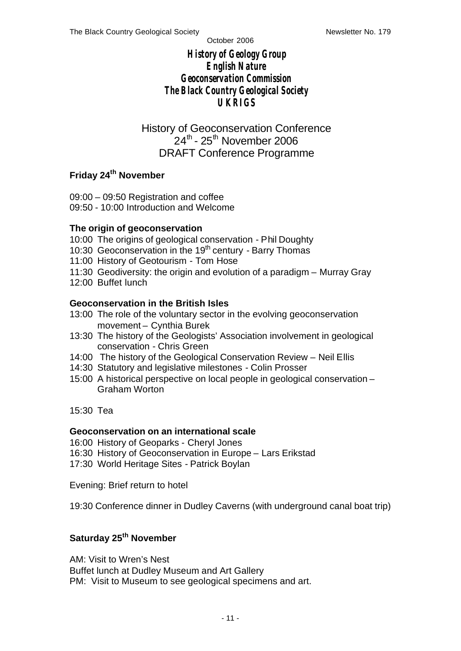# *History of Geology Group English Nature Geoconservation Commission The Black Country Geological Society UKRIGS*

History of Geoconservation Conference 24<sup>th</sup> - 25<sup>th</sup> November 2006 DRAFT Conference Programme

## **Friday 24th November**

09:00 – 09:50 Registration and coffee 09:50 - 10:00 Introduction and Welcome

### **The origin of geoconservation**

- 10:00 The origins of geological conservation Phil Doughty
- 10:30 Geoconservation in the 19<sup>th</sup> century Barry Thomas
- 11:00 History of Geotourism Tom Hose
- 11:30 Geodiversity: the origin and evolution of a paradigm Murray Gray
- 12:00 Buffet lunch

### **Geoconservation in the British Isles**

- 13:00 The role of the voluntary sector in the evolving geoconservation movement – Cynthia Burek
- 13:30 The history of the Geologists' Association involvement in geological conservation - Chris Green
- 14:00 The history of the Geological Conservation Review Neil Ellis
- 14:30 Statutory and legislative milestones Colin Prosser
- 15:00 A historical perspective on local people in geological conservation Graham Worton
- 15:30 Tea

### **Geoconservation on an international scale**

- 16:00 History of Geoparks Cheryl Jones
- 16:30 History of Geoconservation in Europe Lars Erikstad
- 17:30 World Heritage Sites Patrick Boylan

Evening: Brief return to hotel

19:30 Conference dinner in Dudley Caverns (with underground canal boat trip)

# **Saturday 25th November**

AM: Visit to Wren's Nest Buffet lunch at Dudley Museum and Art Gallery PM: Visit to Museum to see geological specimens and art.